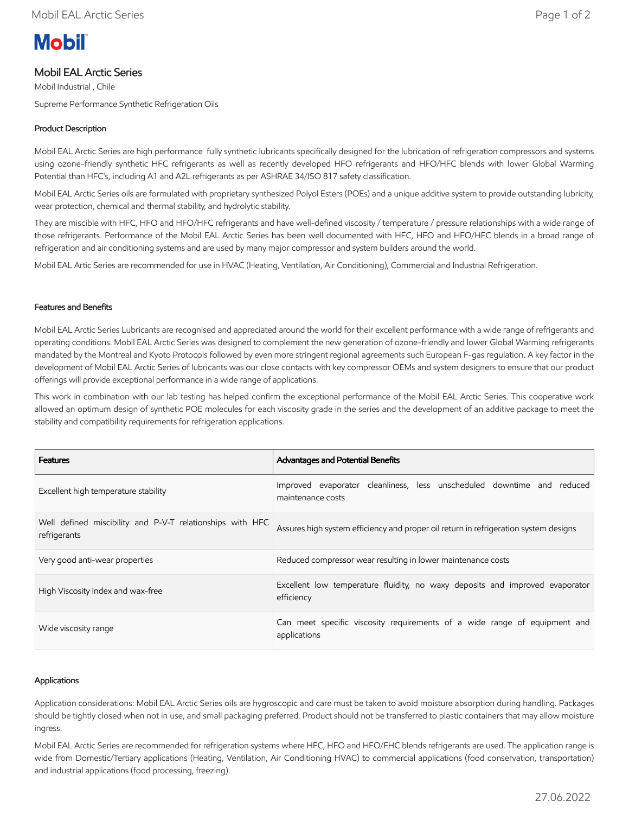# **Mobil**

# Mobil EAL Arctic Series

Mobil Industrial , Chile Supreme Performance Synthetic Refrigeration Oils

# Product Description

Mobil EAL Arctic Series are high performance fully synthetic lubricants specifically designed for the lubrication of refrigeration compressors and systems using ozone-friendly synthetic HFC refrigerants as well as recently developed HFO refrigerants and HFO/HFC blends with lower Global Warming Potential than HFC's, including A1 and A2L refrigerants as per ASHRAE 34/ISO 817 safety classification.

Mobil EAL Arctic Series oils are formulated with proprietary synthesized Polyol Esters (POEs) and a unique additive system to provide outstanding lubricity, wear protection, chemical and thermal stability, and hydrolytic stability.

They are miscible with HFC, HFO and HFO/HFC refrigerants and have well-defined viscosity / temperature / pressure relationships with a wide range of those refrigerants. Performance of the Mobil EAL Arctic Series has been well documented with HFC, HFO and HFO/HFC blends in a broad range of refrigeration and air conditioning systems and are used by many major compressor and system builders around the world.

Mobil EAL Artic Series are recommended for use in HVAC (Heating, Ventilation, Air Conditioning), Commercial and Industrial Refrigeration.

## Features and Benefits

Mobil EAL Arctic Series Lubricants are recognised and appreciated around the world for their excellent performance with a wide range of refrigerants and operating conditions. Mobil EAL Arctic Series was designed to complement the new generation of ozone-friendly and lower Global Warming refrigerants mandated by the Montreal and Kyoto Protocols followed by even more stringent regional agreements such European F-gas regulation. A key factor in the development of Mobil EAL Arctic Series of lubricants was our close contacts with key compressor OEMs and system designers to ensure that our product offerings will provide exceptional performance in a wide range of applications.

This work in combination with our lab testing has helped confirm the exceptional performance of the Mobil EAL Arctic Series. This cooperative work allowed an optimum design of synthetic POE molecules for each viscosity grade in the series and the development of an additive package to meet the stability and compatibility requirements for refrigeration applications.

| <b>Features</b>                                                           | <b>Advantages and Potential Benefits</b>                                                    |  |  |  |  |  |  |
|---------------------------------------------------------------------------|---------------------------------------------------------------------------------------------|--|--|--|--|--|--|
| Excellent high temperature stability                                      | Improved evaporator cleanliness, less unscheduled downtime and reduced<br>maintenance costs |  |  |  |  |  |  |
| Well defined miscibility and P-V-T relationships with HFC<br>refrigerants | Assures high system efficiency and proper oil return in refrigeration system designs        |  |  |  |  |  |  |
| Very good anti-wear properties                                            | Reduced compressor wear resulting in lower maintenance costs                                |  |  |  |  |  |  |
| High Viscosity Index and wax-free                                         | Excellent low temperature fluidity, no waxy deposits and improved evaporator<br>efficiency  |  |  |  |  |  |  |
| Wide viscosity range                                                      | Can meet specific viscosity requirements of a wide range of equipment and<br>applications   |  |  |  |  |  |  |

## Applications

Application considerations: Mobil EAL Arctic Series oils are hygroscopic and care must be taken to avoid moisture absorption during handling. Packages should be tightly closed when not in use, and small packaging preferred. Product should not be transferred to plastic containers that may allow moisture ingress.

Mobil EAL Arctic Series are recommended for refrigeration systems where HFC, HFO and HFO/FHC blends refrigerants are used. The application range is wide from Domestic/Tertiary applications (Heating, Ventilation, Air Conditioning HVAC) to commercial applications (food conservation, transportation) and industrial applications (food processing, freezing).